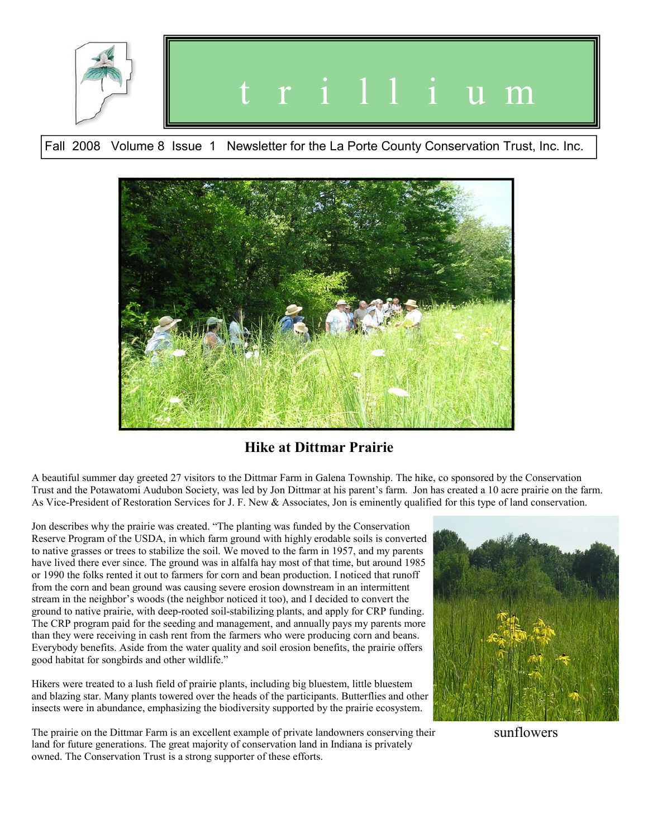

Fall 2008 Volume 8 Issue 1 Newsletter for the La Porte County Conservation Trust, Inc. Inc.



**Hike at Dittmar Prairie** 

A beautiful summer day greeted 27 visitors to the Dittmar Farm in Galena Township. The hike, co sponsored by the Conservation Trust and the Potawatomi Audubon Society, was led by Jon Dittmar at his parent's farm. Jon has created a 10 acre prairie on the farm. As Vice-President of Restoration Services for J. F. New & Associates, Jon is eminently qualified for this type of land conservation.

Jon describes why the prairie was created. "The planting was funded by the Conservation Reserve Program of the USDA, in which farm ground with highly erodable soils is converted to native grasses or trees to stabilize the soil. We moved to the farm in 1957, and my parents have lived there ever since. The ground was in alfalfa hay most of that time, but around 1985 or 1990 the folks rented it out to farmers for corn and bean production. I noticed that runoff from the corn and bean ground was causing severe erosion downstream in an intermittent stream in the neighbor's woods (the neighbor noticed it too), and I decided to convert the ground to native prairie, with deep-rooted soil-stabilizing plants, and apply for CRP funding. The CRP program paid for the seeding and management, and annually pays my parents more than they were receiving in cash rent from the farmers who were producing corn and beans. Everybody benefits. Aside from the water quality and soil erosion benefits, the prairie offers good habitat for songbirds and other wildlife."

Hikers were treated to a lush field of prairie plants, including big bluestem, little bluestem and blazing star. Many plants towered over the heads of the participants. Butterflies and other insects were in abundance, emphasizing the biodiversity supported by the prairie ecosystem.

The prairie on the Dittmar Farm is an excellent example of private landowners conserving their land for future generations. The great majority of conservation land in Indiana is privately owned. The Conservation Trust is a strong supporter of these efforts.



sunflowers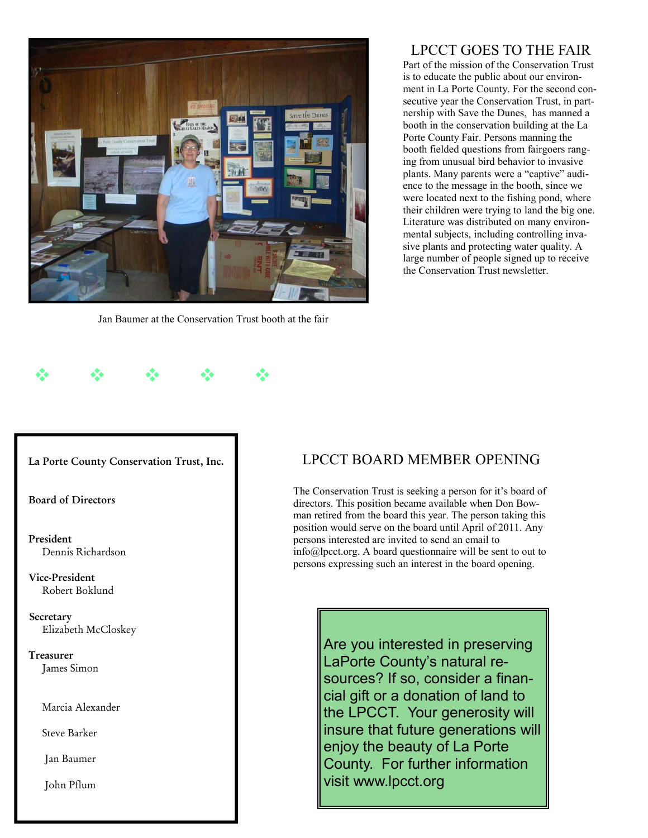

Jan Baumer at the Conservation Trust booth at the fair

## LPCCT GOES TO THE FAIR

Part of the mission of the Conservation Trust is to educate the public about our environment in La Porte County. For the second consecutive year the Conservation Trust, in partnership with Save the Dunes, has manned a booth in the conservation building at the La Porte County Fair. Persons manning the booth fielded questions from fairgoers ranging from unusual bird behavior to invasive plants. Many parents were a "captive" audience to the message in the booth, since we were located next to the fishing pond, where their children were trying to land the big one. Literature was distributed on many environmental subjects, including controlling invasive plants and protecting water quality. A large number of people signed up to receive the Conservation Trust newsletter.

#### **La Porte County Conservation Trust, Inc.**

 $\Phi_{\alpha}=\Phi_{\alpha}=\Phi_{\alpha}=\Phi_{\alpha}=\Phi_{\alpha}$  .

**Board of Directors** 

 **President**  Dennis Richardson

 **Vice-President** Robert Boklund

 **Secretary**  Elizabeth McCloskey

 **Treasurer**  James Simon

Marcia Alexander

Steve Barker

Jan Baumer

John Pflum

### LPCCT BOARD MEMBER OPENING

The Conservation Trust is seeking a person for it's board of directors. This position became available when Don Bowman retired from the board this year. The person taking this position would serve on the board until April of 2011. Any persons interested are invited to send an email to info@lpcct.org. A board questionnaire will be sent to out to persons expressing such an interest in the board opening.

> Are you interested in preserving LaPorte County's natural resources? If so, consider a financial gift or a donation of land to the LPCCT. Your generosity will insure that future generations will enjoy the beauty of La Porte County. For further information visit www.lpcct.org